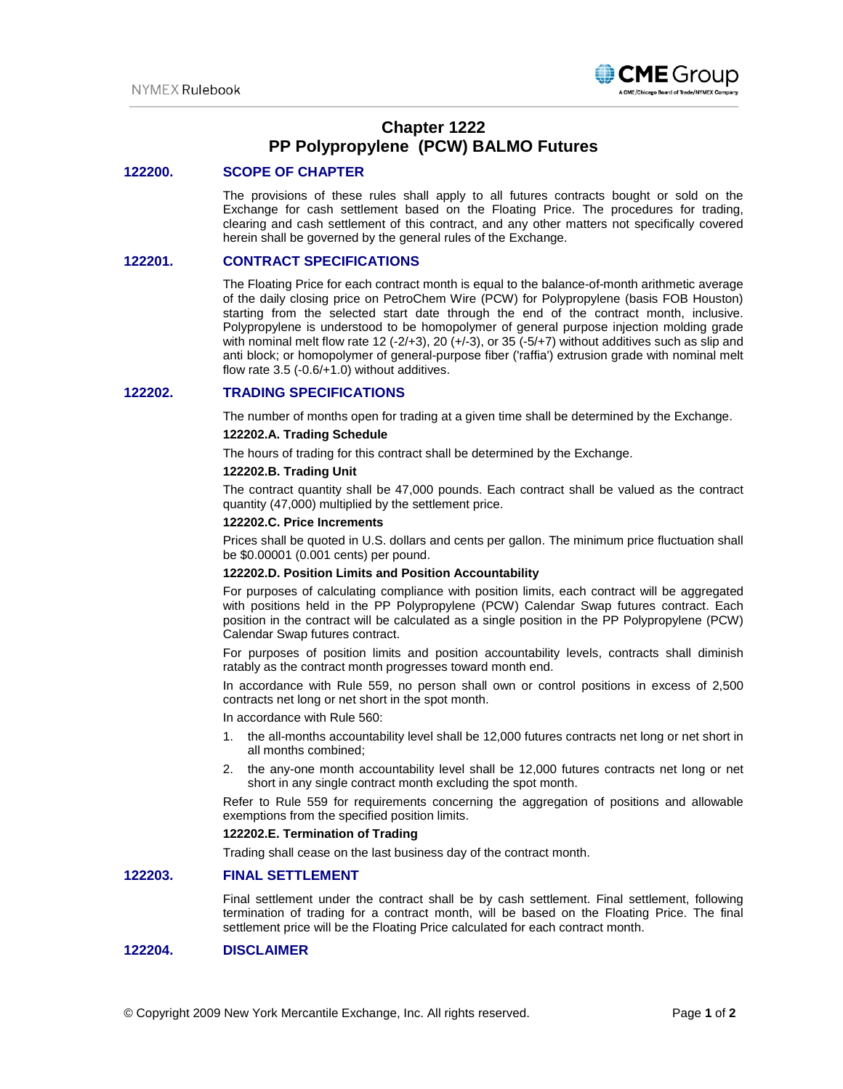

# **Chapter 1222 PP Polypropylene (PCW) BALMO Futures**

### **122200. SCOPE OF CHAPTER**

The provisions of these rules shall apply to all futures contracts bought or sold on the Exchange for cash settlement based on the Floating Price. The procedures for trading, clearing and cash settlement of this contract, and any other matters not specifically covered herein shall be governed by the general rules of the Exchange.

### **122201. CONTRACT SPECIFICATIONS**

The Floating Price for each contract month is equal to the balance-of-month arithmetic average of the daily closing price on PetroChem Wire (PCW) for Polypropylene (basis FOB Houston) starting from the selected start date through the end of the contract month, inclusive. Polypropylene is understood to be homopolymer of general purpose injection molding grade with nominal melt flow rate 12 (-2/+3), 20 (+/-3), or 35 (-5/+7) without additives such as slip and anti block; or homopolymer of general-purpose fiber ('raffia') extrusion grade with nominal melt flow rate 3.5 (-0.6/+1.0) without additives.

## **122202. TRADING SPECIFICATIONS**

The number of months open for trading at a given time shall be determined by the Exchange.

### **122202.A. Trading Schedule**

The hours of trading for this contract shall be determined by the Exchange.

#### **122202.B. Trading Unit**

The contract quantity shall be 47,000 pounds. Each contract shall be valued as the contract quantity (47,000) multiplied by the settlement price.

### **122202.C. Price Increments**

Prices shall be quoted in U.S. dollars and cents per gallon. The minimum price fluctuation shall be \$0.00001 (0.001 cents) per pound.

#### **122202.D. Position Limits and Position Accountability**

For purposes of calculating compliance with position limits, each contract will be aggregated with positions held in the PP Polypropylene (PCW) Calendar Swap futures contract. Each position in the contract will be calculated as a single position in the PP Polypropylene (PCW) Calendar Swap futures contract.

For purposes of position limits and position accountability levels, contracts shall diminish ratably as the contract month progresses toward month end.

In accordance with Rule 559, no person shall own or control positions in excess of 2,500 contracts net long or net short in the spot month.

In accordance with Rule 560:

- 1. the all-months accountability level shall be 12,000 futures contracts net long or net short in all months combined;
- 2. the any-one month accountability level shall be 12,000 futures contracts net long or net short in any single contract month excluding the spot month.

Refer to Rule 559 for requirements concerning the aggregation of positions and allowable exemptions from the specified position limits.

#### **122202.E. Termination of Trading**

Trading shall cease on the last business day of the contract month.

## **122203. FINAL SETTLEMENT**

Final settlement under the contract shall be by cash settlement. Final settlement, following termination of trading for a contract month, will be based on the Floating Price. The final settlement price will be the Floating Price calculated for each contract month.

## **122204. DISCLAIMER**